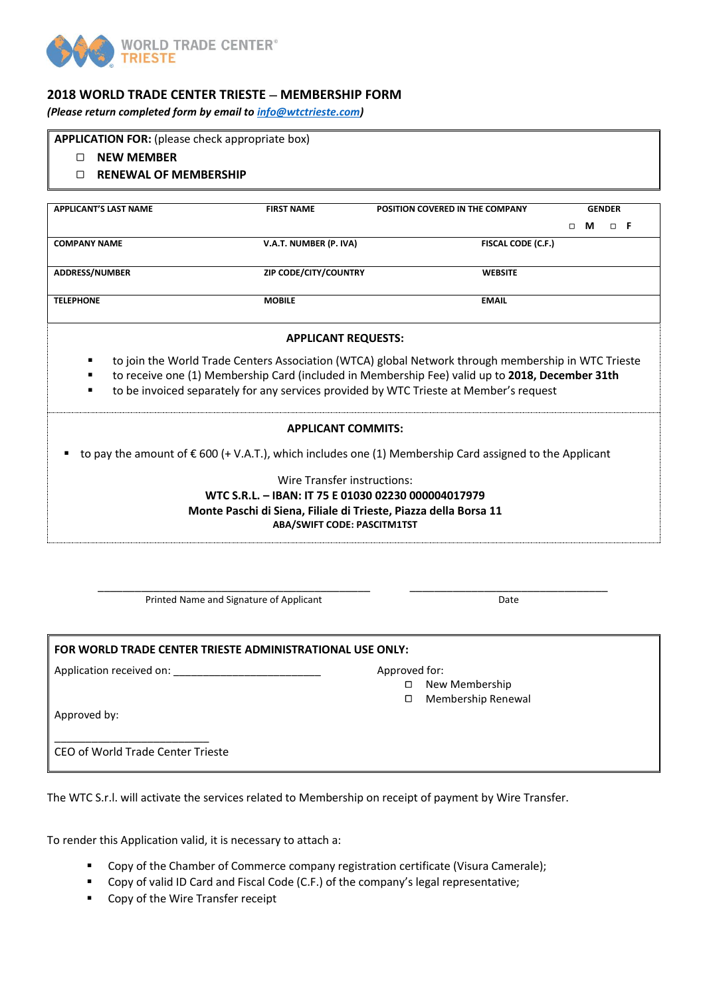

# **2018 WORLD TRADE CENTER TRIESTE** − **MEMBERSHIP FORM**

*(Please return completed form by email to [info@wtctrieste.com\)](mailto:info@wtctrieste.com)*

**APPLICATION FOR:** (please check appropriate box)

- **NEW MEMBER**
- **RENEWAL OF MEMBERSHIP**

| <b>APPLICANT'S LAST NAME</b> |                                                                                                 | <b>FIRST NAME</b>                                                                                      | POSITION COVERED IN THE COMPANY                                                                                  | <b>GENDER</b> |   |   |    |  |  |  |  |  |
|------------------------------|-------------------------------------------------------------------------------------------------|--------------------------------------------------------------------------------------------------------|------------------------------------------------------------------------------------------------------------------|---------------|---|---|----|--|--|--|--|--|
|                              |                                                                                                 |                                                                                                        |                                                                                                                  | □             | м | □ | -F |  |  |  |  |  |
| <b>COMPANY NAME</b>          |                                                                                                 | V.A.T. NUMBER (P. IVA)                                                                                 | <b>FISCAL CODE (C.F.)</b>                                                                                        |               |   |   |    |  |  |  |  |  |
|                              |                                                                                                 |                                                                                                        |                                                                                                                  |               |   |   |    |  |  |  |  |  |
| <b>ADDRESS/NUMBER</b>        |                                                                                                 | ZIP CODE/CITY/COUNTRY                                                                                  | <b>WEBSITE</b>                                                                                                   |               |   |   |    |  |  |  |  |  |
| <b>TELEPHONE</b>             |                                                                                                 | <b>MOBILE</b>                                                                                          | <b>EMAIL</b>                                                                                                     |               |   |   |    |  |  |  |  |  |
|                              |                                                                                                 |                                                                                                        |                                                                                                                  |               |   |   |    |  |  |  |  |  |
|                              | <b>APPLICANT REQUESTS:</b>                                                                      |                                                                                                        |                                                                                                                  |               |   |   |    |  |  |  |  |  |
|                              |                                                                                                 |                                                                                                        |                                                                                                                  |               |   |   |    |  |  |  |  |  |
| ٠                            |                                                                                                 |                                                                                                        | to join the World Trade Centers Association (WTCA) global Network through membership in WTC Trieste              |               |   |   |    |  |  |  |  |  |
| ٠                            | to receive one (1) Membership Card (included in Membership Fee) valid up to 2018, December 31th |                                                                                                        |                                                                                                                  |               |   |   |    |  |  |  |  |  |
| $\blacksquare$               | to be invoiced separately for any services provided by WTC Trieste at Member's request          |                                                                                                        |                                                                                                                  |               |   |   |    |  |  |  |  |  |
|                              |                                                                                                 |                                                                                                        |                                                                                                                  |               |   |   |    |  |  |  |  |  |
|                              |                                                                                                 | <b>APPLICANT COMMITS:</b>                                                                              |                                                                                                                  |               |   |   |    |  |  |  |  |  |
|                              |                                                                                                 |                                                                                                        | to pay the amount of $\epsilon$ 600 (+ V.A.T.), which includes one (1) Membership Card assigned to the Applicant |               |   |   |    |  |  |  |  |  |
|                              |                                                                                                 | Wire Transfer instructions:                                                                            |                                                                                                                  |               |   |   |    |  |  |  |  |  |
|                              |                                                                                                 | WTC S.R.L. - IBAN: IT 75 E 01030 02230 000004017979                                                    |                                                                                                                  |               |   |   |    |  |  |  |  |  |
|                              |                                                                                                 |                                                                                                        |                                                                                                                  |               |   |   |    |  |  |  |  |  |
|                              |                                                                                                 | Monte Paschi di Siena, Filiale di Trieste, Piazza della Borsa 11<br><b>ABA/SWIFT CODE: PASCITM1TST</b> |                                                                                                                  |               |   |   |    |  |  |  |  |  |
|                              |                                                                                                 |                                                                                                        |                                                                                                                  |               |   |   |    |  |  |  |  |  |

\_\_\_\_\_\_\_\_\_\_\_\_\_\_\_\_\_\_\_\_\_\_\_\_\_\_\_\_\_\_\_\_\_\_\_\_\_\_\_\_\_\_\_\_ Printed Name and Signature of Applicant

\_\_\_\_\_\_\_\_\_\_\_\_\_\_\_\_\_\_\_\_\_\_\_\_\_\_\_\_\_\_\_\_ Date

# **FOR WORLD TRADE CENTER TRIESTE ADMINISTRATIONAL USE ONLY:**

Application received on:  $\blacksquare$ 

- New Membership
- Membership Renewal

Approved by:

CEO of World Trade Center Trieste

\_\_\_\_\_\_\_\_\_\_\_\_\_\_\_\_\_\_\_\_\_\_\_\_\_

The WTC S.r.l. will activate the services related to Membership on receipt of payment by Wire Transfer.

To render this Application valid, it is necessary to attach a:

- Copy of the Chamber of Commerce company registration certificate (Visura Camerale);
- Copy of valid ID Card and Fiscal Code (C.F.) of the company's legal representative;
- Copy of the Wire Transfer receipt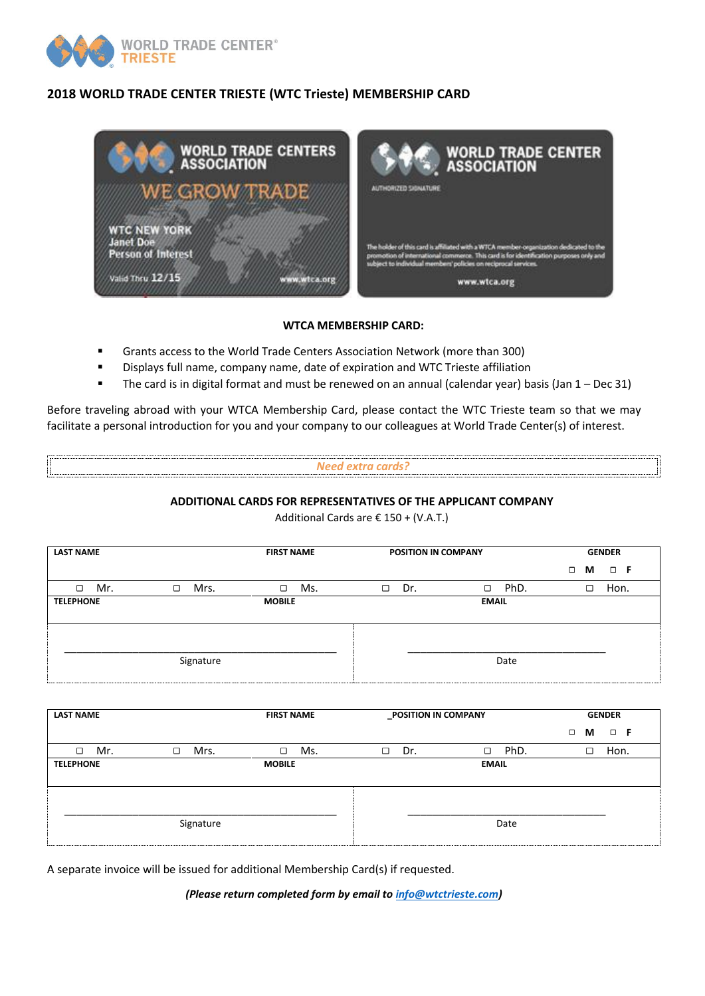

# **2018 WORLD TRADE CENTER TRIESTE (WTC Trieste) MEMBERSHIP CARD**



### **WTCA MEMBERSHIP CARD:**

- Grants access to the World Trade Centers Association Network (more than 300)
- Displays full name, company name, date of expiration and WTC Trieste affiliation
- The card is in digital format and must be renewed on an annual (calendar year) basis (Jan 1 Dec 31)

Before traveling abroad with your WTCA Membership Card, please contact the WTC Trieste team so that we may facilitate a personal introduction for you and your company to our colleagues at World Trade Center(s) of interest.

#### *Need extra cards?*

#### **ADDITIONAL CARDS FOR REPRESENTATIVES OF THE APPLICANT COMPANY**

Additional Cards are € 150 + (V.A.T.)

| <b>LAST NAME</b> |           | <b>FIRST NAME</b> | POSITION IN COMPANY |                | <b>GENDER</b>           |  |  |
|------------------|-----------|-------------------|---------------------|----------------|-------------------------|--|--|
|                  |           |                   |                     |                | $\Box$<br>$\Box$ F<br>М |  |  |
| Mr.<br>□         | Mrs.<br>□ | Ms.<br>□          | Dr.<br>□            | PhD.<br>$\Box$ | Hon.<br>□               |  |  |
| <b>TELEPHONE</b> |           | <b>MOBILE</b>     |                     | <b>EMAIL</b>   |                         |  |  |
|                  |           |                   |                     |                |                         |  |  |
|                  | Signature |                   |                     | Date           |                         |  |  |

| <b>LAST NAME</b> |                | <b>FIRST NAME</b> | POSITION IN COMPANY |                | <b>GENDER</b>           |  |  |
|------------------|----------------|-------------------|---------------------|----------------|-------------------------|--|--|
|                  |                |                   |                     |                | $\Box$<br>$\Box$ F<br>М |  |  |
| □<br>Mr.         | Mrs.<br>$\Box$ | $\Box$<br>Ms.     | $\Box$<br>Dr.       | PhD.<br>$\Box$ | □<br>Hon.               |  |  |
| <b>TELEPHONE</b> |                | <b>MOBILE</b>     |                     | <b>EMAIL</b>   |                         |  |  |
|                  | Signature      |                   |                     | Date           |                         |  |  |

A separate invoice will be issued for additional Membership Card(s) if requested.

*(Please return completed form by email to [info@wtctrieste.com\)](mailto:info@wtctrieste.com)*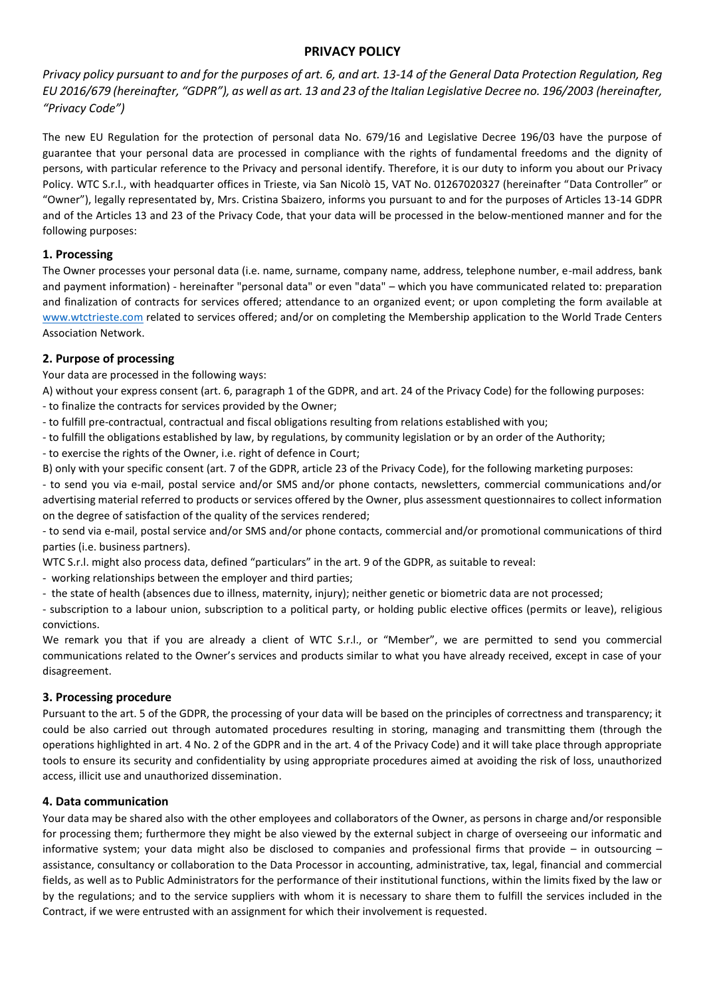# **PRIVACY POLICY**

*Privacy policy pursuant to and for the purposes of art. 6, and art. 13-14 of the General Data Protection Regulation, Reg EU 2016/679 (hereinafter, "GDPR"), as well as art. 13 and 23 of the Italian Legislative Decree no. 196/2003 (hereinafter, "Privacy Code")*

The new EU Regulation for the protection of personal data No. 679/16 and Legislative Decree 196/03 have the purpose of guarantee that your personal data are processed in compliance with the rights of fundamental freedoms and the dignity of persons, with particular reference to the Privacy and personal identify. Therefore, it is our duty to inform you about our Privacy Policy. WTC S.r.l., with headquarter offices in Trieste, via San Nicolò 15, VAT No. 01267020327 (hereinafter "Data Controller" or "Owner"), legally representated by, Mrs. Cristina Sbaizero, informs you pursuant to and for the purposes of Articles 13-14 GDPR and of the Articles 13 and 23 of the Privacy Code, that your data will be processed in the below-mentioned manner and for the following purposes:

# **1. Processing**

The Owner processes your personal data (i.e. name, surname, company name, address, telephone number, e-mail address, bank and payment information) - hereinafter "personal data" or even "data" – which you have communicated related to: preparation and finalization of contracts for services offered; attendance to an organized event; or upon completing the form available at [www.wtctrieste.com](http://www.wtctrieste.com/) related to services offered; and/or on completing the Membership application to the World Trade Centers Association Network.

# **2. Purpose of processing**

Your data are processed in the following ways:

A) without your express consent (art. 6, paragraph 1 of the GDPR, and art. 24 of the Privacy Code) for the following purposes:

- to finalize the contracts for services provided by the Owner;
- to fulfill pre-contractual, contractual and fiscal obligations resulting from relations established with you;
- to fulfill the obligations established by law, by regulations, by community legislation or by an order of the Authority;
- to exercise the rights of the Owner, i.e. right of defence in Court;

B) only with your specific consent (art. 7 of the GDPR, article 23 of the Privacy Code), for the following marketing purposes:

- to send you via e-mail, postal service and/or SMS and/or phone contacts, newsletters, commercial communications and/or advertising material referred to products or services offered by the Owner, plus assessment questionnaires to collect information on the degree of satisfaction of the quality of the services rendered;

- to send via e-mail, postal service and/or SMS and/or phone contacts, commercial and/or promotional communications of third parties (i.e. business partners).

WTC S.r.l. might also process data, defined "particulars" in the art. 9 of the GDPR, as suitable to reveal:

- working relationships between the employer and third parties;
- the state of health (absences due to illness, maternity, injury); neither genetic or biometric data are not processed;

- subscription to a labour union, subscription to a political party, or holding public elective offices (permits or leave), religious convictions.

We remark you that if you are already a client of WTC S.r.l., or "Member", we are permitted to send you commercial communications related to the Owner's services and products similar to what you have already received, except in case of your disagreement.

### **3. Processing procedure**

Pursuant to the art. 5 of the GDPR, the processing of your data will be based on the principles of correctness and transparency; it could be also carried out through automated procedures resulting in storing, managing and transmitting them (through the operations highlighted in art. 4 No. 2 of the GDPR and in the art. 4 of the Privacy Code) and it will take place through appropriate tools to ensure its security and confidentiality by using appropriate procedures aimed at avoiding the risk of loss, unauthorized access, illicit use and unauthorized dissemination.

### **4. Data communication**

Your data may be shared also with the other employees and collaborators of the Owner, as persons in charge and/or responsible for processing them; furthermore they might be also viewed by the external subject in charge of overseeing our informatic and informative system; your data might also be disclosed to companies and professional firms that provide – in outsourcing – assistance, consultancy or collaboration to the Data Processor in accounting, administrative, tax, legal, financial and commercial fields, as well as to Public Administrators for the performance of their institutional functions, within the limits fixed by the law or by the regulations; and to the service suppliers with whom it is necessary to share them to fulfill the services included in the Contract, if we were entrusted with an assignment for which their involvement is requested.